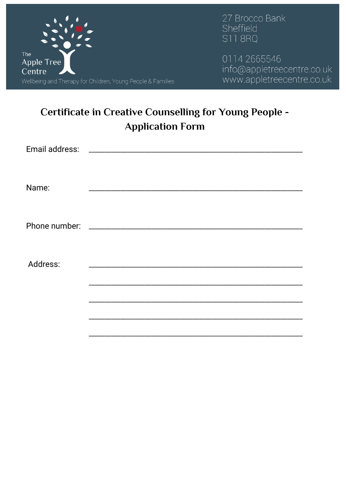

27 Brocco Bank Sheffield **S11 8RQ** 

0114 2665546 info@appletreecentre.co.uk<br>www.appletreecentre.co.uk

# **Certificate in Creative Counselling for Young People -Application Form**

| Name:    |  |
|----------|--|
|          |  |
| Address: |  |
|          |  |
|          |  |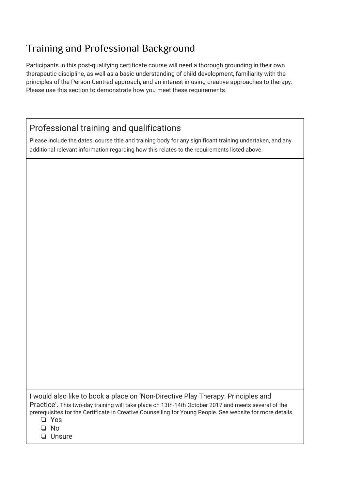## Training and Professional Background

Participants in this post-qualifying certificate course will need a thorough grounding in their own therapeutic discipline, as well as a basic understanding of child development, familiarity with the principles of the Person Centred approach, and an interest in using creative approaches to therapy. Please use this section to demonstrate how you meet these requirements.

### Professional training and qualifications

Please include the dates, course title and training body for any significant training undertaken, and any additional relevant information regarding how this relates to the requirements listed above.

I would also like to book a place on 'Non-Directive Play Therapy: Principles and Practice'. This two-day training will take place on 13th-14th October 2017 and meets several of the prerequisites for the Certificate in Creative Counselling for Young People. See website for more details.

❏ Yes

❏ No

❏ Unsure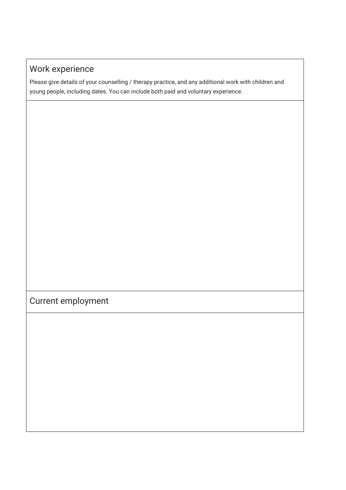## Work experience

Please give details of your counselling / therapy practice, and any additional work with children and young people, including dates. You can include both paid and voluntary experience.

## Current employment